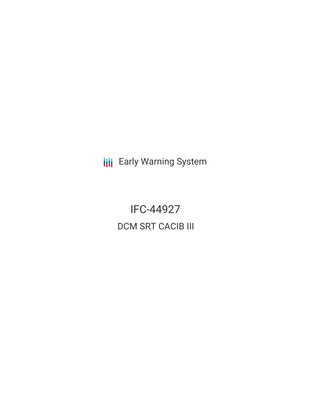**III** Early Warning System

IFC-44927 DCM SRT CACIB III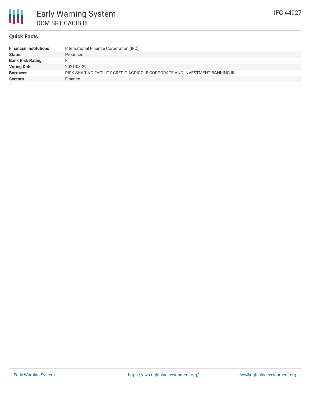

### **Quick Facts**

| <b>Financial Institutions</b> | International Finance Corporation (IFC)                                    |
|-------------------------------|----------------------------------------------------------------------------|
| <b>Status</b>                 | Proposed                                                                   |
| <b>Bank Risk Rating</b>       |                                                                            |
| <b>Voting Date</b>            | 2021-03-29                                                                 |
| <b>Borrower</b>               | RISK SHARING FACILITY CREDIT AGRICOLE CORPORATE AND INVESTMENT BANKING III |
| <b>Sectors</b>                | Finance                                                                    |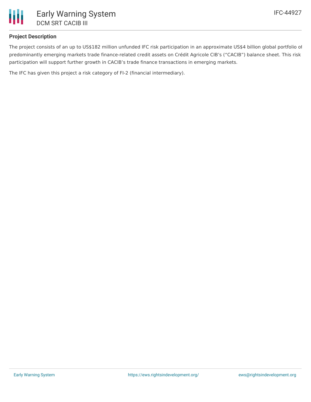

# **Project Description**

The project consists of an up to US\$182 million unfunded IFC risk participation in an approximate US\$4 billion global portfolio of predominantly emerging markets trade finance-related credit assets on Crédit Agricole CIB's ("CACIB") balance sheet. This risk participation will support further growth in CACIB's trade finance transactions in emerging markets.

The IFC has given this project a risk category of FI-2 (financial intermediary).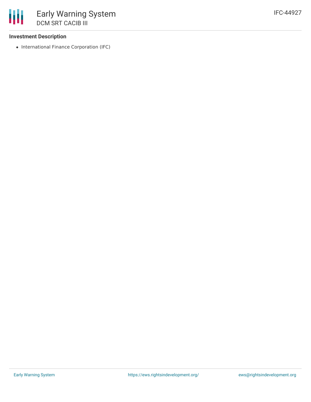# **Investment Description**

• International Finance Corporation (IFC)